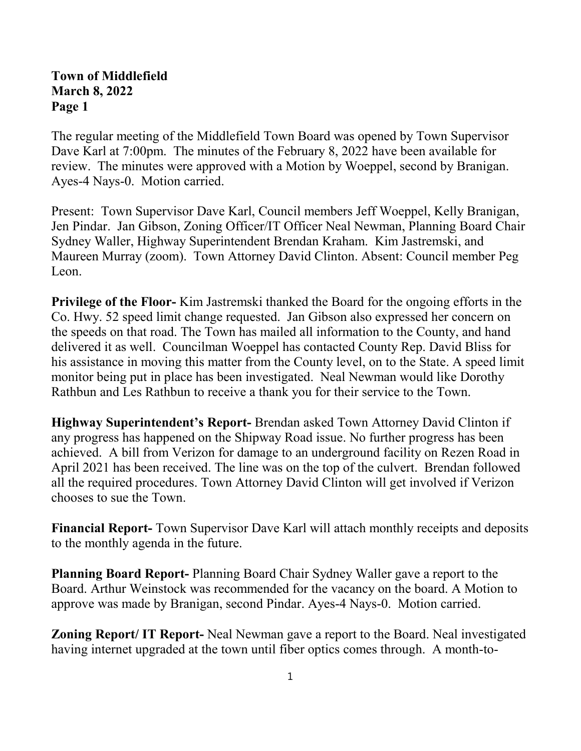## **Town of Middlefield March 8, 2022 Page 1**

The regular meeting of the Middlefield Town Board was opened by Town Supervisor Dave Karl at 7:00pm. The minutes of the February 8, 2022 have been available for review. The minutes were approved with a Motion by Woeppel, second by Branigan. Ayes-4 Nays-0. Motion carried.

Present: Town Supervisor Dave Karl, Council members Jeff Woeppel, Kelly Branigan, Jen Pindar. Jan Gibson, Zoning Officer/IT Officer Neal Newman, Planning Board Chair Sydney Waller, Highway Superintendent Brendan Kraham. Kim Jastremski, and Maureen Murray (zoom). Town Attorney David Clinton. Absent: Council member Peg Leon.

**Privilege of the Floor-** Kim Jastremski thanked the Board for the ongoing efforts in the Co. Hwy. 52 speed limit change requested. Jan Gibson also expressed her concern on the speeds on that road. The Town has mailed all information to the County, and hand delivered it as well. Councilman Woeppel has contacted County Rep. David Bliss for his assistance in moving this matter from the County level, on to the State. A speed limit monitor being put in place has been investigated. Neal Newman would like Dorothy Rathbun and Les Rathbun to receive a thank you for their service to the Town.

**Highway Superintendent's Report-** Brendan asked Town Attorney David Clinton if any progress has happened on the Shipway Road issue. No further progress has been achieved. A bill from Verizon for damage to an underground facility on Rezen Road in April 2021 has been received. The line was on the top of the culvert. Brendan followed all the required procedures. Town Attorney David Clinton will get involved if Verizon chooses to sue the Town.

**Financial Report-** Town Supervisor Dave Karl will attach monthly receipts and deposits to the monthly agenda in the future.

**Planning Board Report-** Planning Board Chair Sydney Waller gave a report to the Board. Arthur Weinstock was recommended for the vacancy on the board. A Motion to approve was made by Branigan, second Pindar. Ayes-4 Nays-0. Motion carried.

**Zoning Report/ IT Report-** Neal Newman gave a report to the Board. Neal investigated having internet upgraded at the town until fiber optics comes through. A month-to